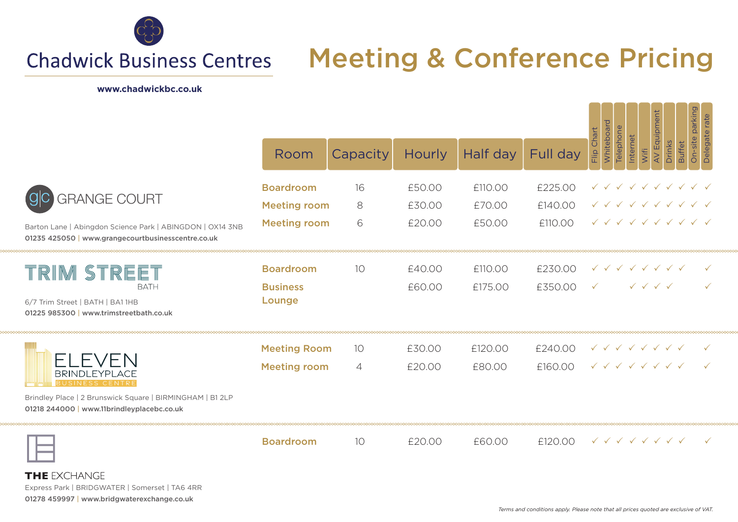

## Meeting & Conference Pricing **Chadwick Business Centres**

#### **www.chadwickbc.co.uk**

|                                                                                                                 |                           |                 |               |          |           | On-site parking<br>AV Equipment<br>rate                                                                 |
|-----------------------------------------------------------------------------------------------------------------|---------------------------|-----------------|---------------|----------|-----------|---------------------------------------------------------------------------------------------------------|
|                                                                                                                 | Room                      | Capacity        | <b>Hourly</b> | Half day | Full day  | Whiteboard<br><b>Telephone</b><br>Flip Chart<br>Internet<br>Drinks<br><b>Buffet</b><br>Wifi             |
| <b>GRANGE COURT</b>                                                                                             | <b>Boardroom</b>          | 16              | £50.00        | £110.00  | £225.00   | $\checkmark$ $\checkmark$ $\checkmark$ $\checkmark$ $\checkmark$ $\checkmark$ $\checkmark$ $\checkmark$ |
|                                                                                                                 | <b>Meeting room</b>       | 8               | £30.00        | £70.00   | £140.00   | 1 1 1 1 1 1 1 1 1 1                                                                                     |
| Barton Lane   Abingdon Science Park   ABINGDON   OX14 3NB<br>01235 425050   www.grangecourtbusinesscentre.co.uk | <b>Meeting room</b>       | 6               | £20.00        | £50.00   | £110.00   | V V V V V V V V V                                                                                       |
| TRIM STREET                                                                                                     | <b>Boardroom</b>          | 10 <sup>°</sup> | £40.00        | £110.00  | £230.00   | $\sqrt{2}$ $\sqrt{2}$ $\sqrt{2}$ $\sqrt{2}$ $\sqrt{2}$ $\sqrt{2}$                                       |
| <b>BATH</b><br>6/7 Trim Street   BATH   BA1 1HB<br>01225 985300   www.trimstreetbath.co.uk                      | <b>Business</b><br>Lounge |                 | £60.00        | £175.00  | £350.00 V | $\checkmark$ $\checkmark$ $\checkmark$ $\checkmark$                                                     |
| FLEVEN<br><b>BRINDLEYPLACE</b><br>BUSINESS CENTI                                                                | <b>Meeting Room</b>       | 10 <sup>2</sup> | £30.00        | £120.00  | £240.00   | $\checkmark$ $\checkmark$ $\checkmark$ $\checkmark$ $\checkmark$ $\checkmark$ $\checkmark$ $\checkmark$ |
|                                                                                                                 | <b>Meeting room</b>       | $\overline{4}$  | £20.00        | £80.00   | £160.00   | $\checkmark$ $\checkmark$ $\checkmark$ $\checkmark$ $\checkmark$ $\checkmark$ $\checkmark$ $\checkmark$ |
| Brindley Place   2 Brunswick Square   BIRMINGHAM   B1 2LP<br>01218 244000   www.11brindleyplacebc.co.uk         |                           |                 |               |          |           |                                                                                                         |
|                                                                                                                 | <b>Boardroom</b>          | 10 <sup>°</sup> | £20.00        | £60.00   | f12000    | $\checkmark$ $\checkmark$ $\checkmark$ $\checkmark$ $\checkmark$ $\checkmark$ $\checkmark$ $\checkmark$ |

----------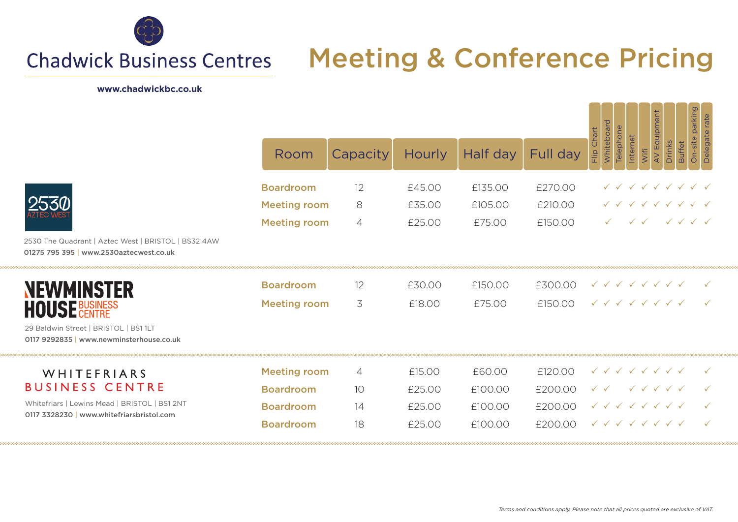

## Meeting & Conference Pricing **Chadwick Business Centres**

### **www.chadwickbc.co.uk**

**MAAAAA** 

soooooc

|                                                                                                                                     |                                            |          |                  |                   |                    | On-site parking<br>AV Equipment<br>Delegate rate                                                                                                                                            |
|-------------------------------------------------------------------------------------------------------------------------------------|--------------------------------------------|----------|------------------|-------------------|--------------------|---------------------------------------------------------------------------------------------------------------------------------------------------------------------------------------------|
|                                                                                                                                     | Room                                       | Capacity | <b>Hourly</b>    | Half day          | Full day           | Whiteboard<br>Telephone<br>Flip Chart<br>Internet<br><b>Drinks</b><br><b>Buffet</b><br>Wifi                                                                                                 |
|                                                                                                                                     | <b>Boardroom</b>                           | 12       | £45.00           | £135.00           | £270.00            | 1 1 1 1 1 1 1 1 1                                                                                                                                                                           |
|                                                                                                                                     | <b>Meeting room</b><br><b>Meeting room</b> | 8<br>4   | £35.00<br>£25.00 | £105.00<br>£75.00 | £210.00<br>£150.00 | $\checkmark$ $\checkmark$ $\checkmark$ $\checkmark$ $\checkmark$ $\checkmark$ $\checkmark$ $\checkmark$<br>$\checkmark$ $\checkmark$<br>$\checkmark$ $\checkmark$ $\checkmark$ $\checkmark$ |
| 2530 The Quadrant   Aztec West   BRISTOL   BS32 4AW<br>01275 795 395   www.2530aztecwest.co.uk                                      |                                            |          |                  |                   |                    |                                                                                                                                                                                             |
| <b>NEWMINSTER</b><br><b>HOUSE BUSINESS</b>                                                                                          | <b>Boardroom</b>                           | 12       | £30.00           | £150.00           | £300.00            | $\checkmark$ $\checkmark$ $\checkmark$ $\checkmark$ $\checkmark$ $\checkmark$ $\checkmark$ $\checkmark$                                                                                     |
|                                                                                                                                     | <b>Meeting room</b>                        | 3        | £18.00           | £75.00            | £150.00            | $\checkmark$ $\checkmark$ $\checkmark$ $\checkmark$ $\checkmark$ $\checkmark$ $\checkmark$ $\checkmark$                                                                                     |
| 29 Baldwin Street   BRISTOL   BS1 1LT<br>0117 9292835   www.newminsterhouse.co.uk                                                   |                                            |          |                  |                   |                    |                                                                                                                                                                                             |
| WHITEFRIARS<br><b>BUSINESS CENTRE</b><br>Whitefriars   Lewins Mead   BRISTOL   BS1 2NT<br>0117 3328230   www.whitefriarsbristol.com | <b>Meeting room</b>                        | 4        | £15.00           | £60.00            | £120.00            | $\checkmark$ $\checkmark$ $\checkmark$ $\checkmark$ $\checkmark$ $\checkmark$ $\checkmark$ $\checkmark$                                                                                     |
|                                                                                                                                     | <b>Boardroom</b>                           | 10       | £25.00           | £100.00           | £200.00            | $\checkmark$ $\checkmark$ $\checkmark$ $\checkmark$ $\checkmark$                                                                                                                            |
|                                                                                                                                     | <b>Boardroom</b>                           | 14       | £25.00           | £100.00           | £200.00            | $\checkmark$ $\checkmark$ $\checkmark$ $\checkmark$ $\checkmark$ $\checkmark$ $\checkmark$ $\checkmark$                                                                                     |
|                                                                                                                                     | <b>Boardroom</b>                           | 18       | £25.00           | £100.00           | £200.00            | $\sqrt{2}$ $\sqrt{2}$ $\sqrt{2}$ $\sqrt{2}$ $\sqrt{2}$ $\sqrt{2}$                                                                                                                           |

ma a a a a a a a

**SAAAA**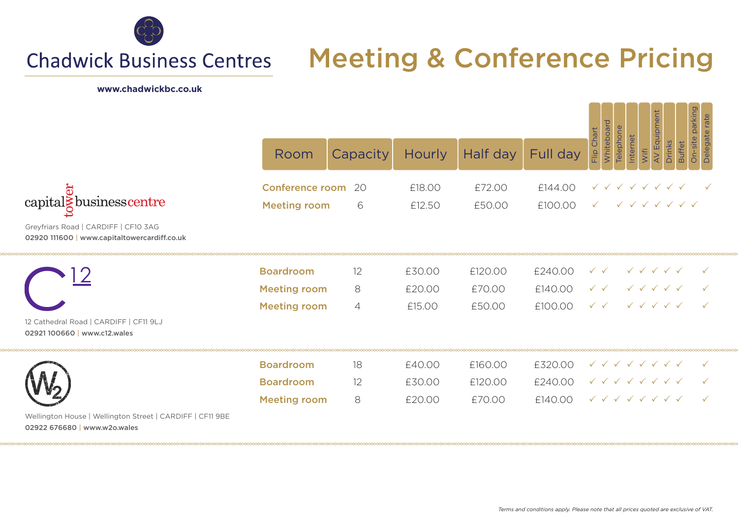

**Chadwick Business Centres** 

# Meeting & Conference Pricing

### **www.chadwickbc.co.uk**

|                                                                                                                                         |                                                                |               | On-site parking<br>AV Equipment<br>rate |                              |                               |                                                                                                                                                                                                                                     |
|-----------------------------------------------------------------------------------------------------------------------------------------|----------------------------------------------------------------|---------------|-----------------------------------------|------------------------------|-------------------------------|-------------------------------------------------------------------------------------------------------------------------------------------------------------------------------------------------------------------------------------|
|                                                                                                                                         | Room                                                           | Capacity      | <b>Hourly</b>                           | Half day                     | Full day                      | Whiteboard<br>Telephone<br>Flip Chart<br>Delegate <sub>1</sub><br>Internet<br><b>Buffet</b><br>Drinks<br>Wifi                                                                                                                       |
| $\mbox{capital} \bar{\S} \mbox{businesscentre}$<br>Greyfriars Road   CARDIFF   CF10 3AG<br>02920 111600   www.capitaltowercardiff.co.uk | <b>Conference room</b><br><b>Meeting room</b>                  | -20<br>6      | £18.00<br>£12.50                        | £72.00<br>£50.00             | £144.00<br>£100.00            | $\checkmark$ $\checkmark$ $\checkmark$ $\checkmark$ $\checkmark$ $\checkmark$ $\checkmark$<br>$\checkmark$ $\checkmark$ $\checkmark$ $\checkmark$ $\checkmark$ $\checkmark$ $\checkmark$                                            |
| 12 Cathedral Road   CARDIFF   CF11 9LJ<br>02921100660   www.c12.wales                                                                   | <b>Boardroom</b><br><b>Meeting room</b><br><b>Meeting room</b> | 12<br>8<br>4  | £30.00<br>£20.00<br>£15.00              | £120.00<br>£70.00<br>£50.00  | £240.00<br>£140.00<br>£100.00 | $\checkmark$ $\checkmark$ $\checkmark$ $\checkmark$ $\checkmark$<br>$\checkmark$ $\checkmark$                                                                                                                                       |
| Wellington House   Wellington Street   CARDIFF   CF11 9BE<br>02922 676680   www.w2o.wales                                               | <b>Boardroom</b><br><b>Boardroom</b><br><b>Meeting room</b>    | 18<br>12<br>8 | £40.00<br>£30.00<br>£20.00              | £160.00<br>£120.00<br>£70.00 | £320.00<br>£240.00<br>£140.00 | $\checkmark$ $\checkmark$ $\checkmark$ $\checkmark$ $\checkmark$ $\checkmark$ $\checkmark$ $\checkmark$<br>V V V V V V V<br>$\checkmark$ $\checkmark$ $\checkmark$ $\checkmark$ $\checkmark$ $\checkmark$ $\checkmark$ $\checkmark$ |

----------